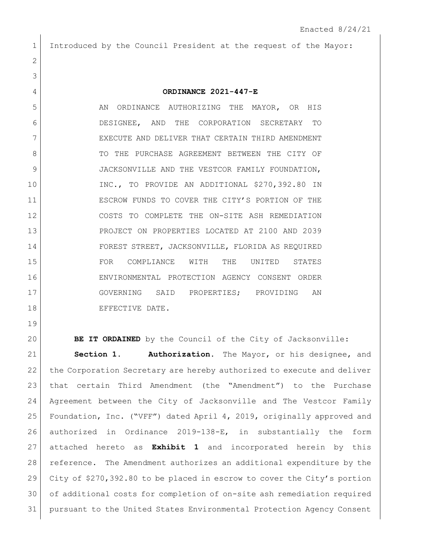## Introduced by the Council President at the request of the Mayor:

## **ORDINANCE 2021-447-E**

5 AN ORDINANCE AUTHORIZING THE MAYOR, OR HIS DESIGNEE, AND THE CORPORATION SECRETARY TO 7 EXECUTE AND DELIVER THAT CERTAIN THIRD AMENDMENT 8 TO THE PURCHASE AGREEMENT BETWEEN THE CITY OF 9 JACKSONVILLE AND THE VESTCOR FAMILY FOUNDATION, INC., TO PROVIDE AN ADDITIONAL \$270,392.80 IN ESCROW FUNDS TO COVER THE CITY'S PORTION OF THE COSTS TO COMPLETE THE ON-SITE ASH REMEDIATION PROJECT ON PROPERTIES LOCATED AT 2100 AND 2039 FOREST STREET, JACKSONVILLE, FLORIDA AS REQUIRED FOR COMPLIANCE WITH THE UNITED STATES ENVIRONMENTAL PROTECTION AGENCY CONSENT ORDER GOVERNING SAID PROPERTIES; PROVIDING AN 18 EFFECTIVE DATE.

**BE IT ORDAINED** by the Council of the City of Jacksonville:

 **Section 1. Authorization.** The Mayor, or his designee, and 22 the Corporation Secretary are hereby authorized to execute and deliver that certain Third Amendment (the "Amendment") to the Purchase Agreement between the City of Jacksonville and The Vestcor Family Foundation, Inc. ("VFF") dated April 4, 2019, originally approved and authorized in Ordinance 2019-138-E, in substantially the form attached hereto as **Exhibit 1** and incorporated herein by this reference. The Amendment authorizes an additional expenditure by the City of \$270,392.80 to be placed in escrow to cover the City's portion of additional costs for completion of on-site ash remediation required pursuant to the United States Environmental Protection Agency Consent